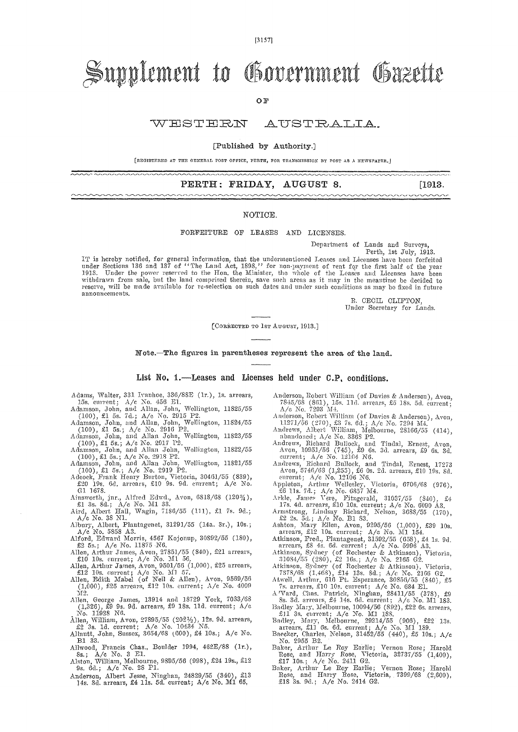$[3157]$ 

# Supplement to Government Gazette

OF

#### WESTERN AUSTRALIA.

#### [Published by Authority.]

[REGISTERED AT THE GENERAL POST OFFICE, FERTH, FOR TRANSMISSION BY POST AS A NEWSPAPER.

### PERTH: FRIDAY, AUGUST 8.

[1913.

#### NOTICE.

### FORFEITURE OF LEASES AND LICENSES.

Department of Lands and Surveys Perth, 1st July, 1913.

mmmmmmmmmmmmm

IT is hereby notified, for general information, that the undermentioned Leases and Lieeus, ist July, 1915.<br>under Sections 136 and 137 of "The Land Act, 1898," for non-payment of rent for the first half of the year<br>1913. Un announcements.

> R. CECIL CLIFTON. Under Secretary for Lands.

[CORRECTED TO 1sr AUGUST, 1913.]

Note.-The figures in parentheses represent the area of the land.

List No. 1.—Leases and Licenses held under C.P. conditions.

- Adams, Walter, 331 Ivanhoe, 336/88E (1r.), 1s. arrears,
- 
- 
- 
- 
- 
- Adams, Walter, 331 Ivanhoe, 336/88E (1r.), 1s. arrears,<br>15s. current;  $A/e$  No. 456 E1.<br>Adamson, John, and Allan, John, Wellington, 11825/55<br>(100), £1 5s. 7d.;  $A/e$  No. 2915 P2.<br>Adamson, John, and Allan, John, Wellington,
- G1 1073.<br>Ainsworth, jnr., Alfred Edwd., Avon, 6818/68 (120%),<br>£1 3s. 8d.; A/c No. M1 33.<br>Aird, Albert Hall, Wagin, 7186/55 (111), £1 7s. 9d.;<br>A/c No. 38 N1.
- 
- 
- A/c No. 38 N1.<br>
Albury, Albert, Plantagenet, 31291/55 (14a. 3r.), 10s.;<br>
A/c No. 5358 A3.<br>
Alford, Edward Morris, 4567 Kojonup, 30892/55 (180),<br>
£2 5s.; A/c No. 11875 N6.<br>
Allen, Arthur James, Avon, 27851/55 (840), £21 ar
- 
- E10 10s. current;  $A/e$  No. 311 50,<br>Allen, Arthur James, Avon, 9501/56 (1,000), £25 arrears,<br>E12 10s. current;  $A/e$  No.  $M1$  57.<br>Allen, Edith Mabel (of Neil & Allen), Avon, 9569/56<br>(1,000), £25 arrears, £12 10s. current;
- М2.
- M2.<br>
Allen, George James, 13914 and 18729 York, 7033/68<br>
(1,326), £9 9s. 9d. arrears, £9 18s. 11d. current; A/c<br>
No. 11928 N6.<br>
Allen, William, Avon, 27895/55 (202½), 12s. 9d. arrears,<br>
£2 3s. 1d. current; A/c No. 10434 N5
- 
- B1 33.
- 
- B1 33.<br>Allwood, Francis Chas., Boulder 1994, 462E/88 (1r.),<br>Ss.; A/c No. 3 E1.<br>Alston, William, Melbourne, 9895/56 (998), £24 19s., £12<br>9s. 6d.; A/c No. 28 P1.
- Anderson, Albert Jesse, Ninghan, 24829/55 (340), £11<br>14s. 3d. arrears, £4 11s. 5d. current; A/c No. M1 65.  $£13$
- Anderson, Robert William (of Davies & Anderson), Avon, Anderson, Nobert William (of Davies & Anderson), Avon,<br>
7845/68 (861), 15s. 11d. arrears, £5 18s. 5d. eurrent;<br>
A/c No. 7293 M4.<br>
Anderson, Robert William (of Davies & Anderson), Avon,<br>
11271/56 (270), £5 7s. 6d.; A/c No.
- 
- 
- 
- abandoned; A/e No. 3368 P2.<br>
Andrews, Richard Bullock, and Tindal, Ernest, Avon, Avon, 10951/56 (745), \$9 6s. 3d. arrears, \$9 6s. 3d.<br>
eurrent; A/e No. 12104 N6.<br>
Andrews, Richard Bullock, and Tindal, Ernest, 17273<br>
Avon,
- 
- 
- 
- 
- 
- 
- 
- 
- Arkle, James Vere, Pitzgerald, 31037/55 (340), £4<br>17s. 4d. arrears, £10 10s. current; A/e No. 60390 A3.<br>Armstrong, Lindsay Richard, Nelson, 3688/55 (170),<br>£2 2s. 5d.; A/e No. B1 83.<br>Ashton, Mary Ellen, Avon, 9295/56 (1,00
- 
- 
- 
-